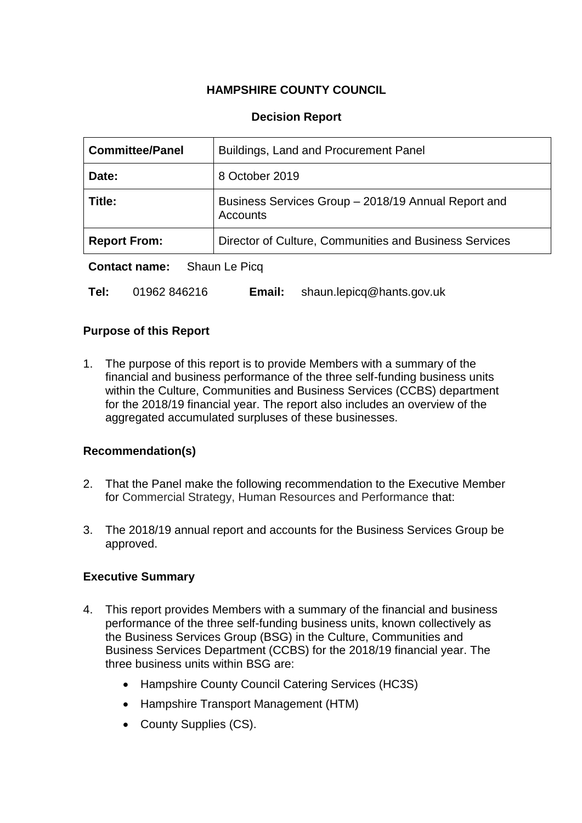# **HAMPSHIRE COUNTY COUNCIL**

# **Decision Report**

| <b>Committee/Panel</b>                | Buildings, Land and Procurement Panel                           |  |  |
|---------------------------------------|-----------------------------------------------------------------|--|--|
| Date:                                 | 8 October 2019                                                  |  |  |
| Title:                                | Business Services Group - 2018/19 Annual Report and<br>Accounts |  |  |
| <b>Report From:</b>                   | Director of Culture, Communities and Business Services          |  |  |
| Shaun Le Picq<br><b>Contact name:</b> |                                                                 |  |  |

**Tel:** 01962 846216 **Email:** shaun.lepicq@hants.gov.uk

## **Purpose of this Report**

1. The purpose of this report is to provide Members with a summary of the financial and business performance of the three self-funding business units within the Culture, Communities and Business Services (CCBS) department for the 2018/19 financial year. The report also includes an overview of the aggregated accumulated surpluses of these businesses.

## **Recommendation(s)**

- 2. That the Panel make the following recommendation to the Executive Member for Commercial Strategy, Human Resources and Performance that:
- 3. The 2018/19 annual report and accounts for the Business Services Group be approved.

## **Executive Summary**

- 4. This report provides Members with a summary of the financial and business performance of the three self-funding business units, known collectively as the Business Services Group (BSG) in the Culture, Communities and Business Services Department (CCBS) for the 2018/19 financial year. The three business units within BSG are:
	- Hampshire County Council Catering Services (HC3S)
	- Hampshire Transport Management (HTM)
	- County Supplies (CS).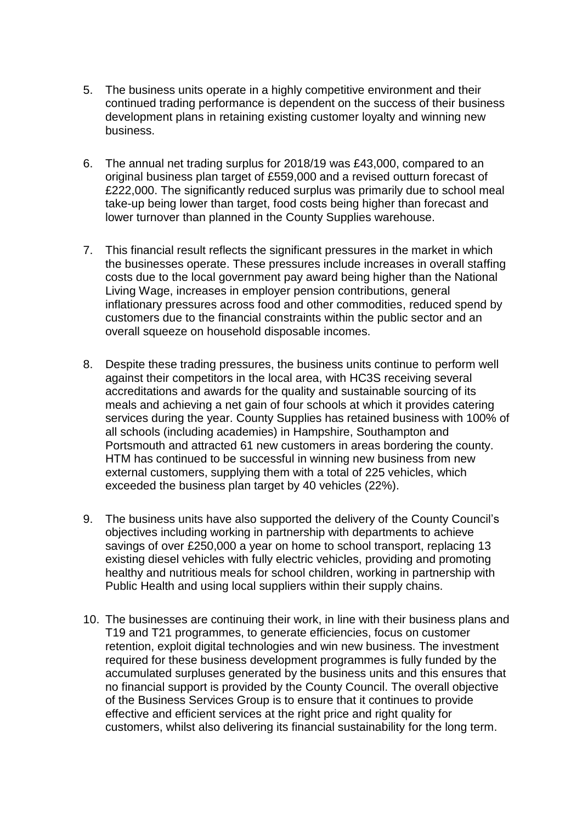- 5. The business units operate in a highly competitive environment and their continued trading performance is dependent on the success of their business development plans in retaining existing customer loyalty and winning new business.
- 6. The annual net trading surplus for 2018/19 was £43,000, compared to an original business plan target of £559,000 and a revised outturn forecast of £222,000. The significantly reduced surplus was primarily due to school meal take-up being lower than target, food costs being higher than forecast and lower turnover than planned in the County Supplies warehouse.
- 7. This financial result reflects the significant pressures in the market in which the businesses operate. These pressures include increases in overall staffing costs due to the local government pay award being higher than the National Living Wage, increases in employer pension contributions, general inflationary pressures across food and other commodities, reduced spend by customers due to the financial constraints within the public sector and an overall squeeze on household disposable incomes.
- 8. Despite these trading pressures, the business units continue to perform well against their competitors in the local area, with HC3S receiving several accreditations and awards for the quality and sustainable sourcing of its meals and achieving a net gain of four schools at which it provides catering services during the year. County Supplies has retained business with 100% of all schools (including academies) in Hampshire, Southampton and Portsmouth and attracted 61 new customers in areas bordering the county. HTM has continued to be successful in winning new business from new external customers, supplying them with a total of 225 vehicles, which exceeded the business plan target by 40 vehicles (22%).
- 9. The business units have also supported the delivery of the County Council's objectives including working in partnership with departments to achieve savings of over £250,000 a year on home to school transport, replacing 13 existing diesel vehicles with fully electric vehicles, providing and promoting healthy and nutritious meals for school children, working in partnership with Public Health and using local suppliers within their supply chains.
- 10. The businesses are continuing their work, in line with their business plans and T19 and T21 programmes, to generate efficiencies, focus on customer retention, exploit digital technologies and win new business. The investment required for these business development programmes is fully funded by the accumulated surpluses generated by the business units and this ensures that no financial support is provided by the County Council. The overall objective of the Business Services Group is to ensure that it continues to provide effective and efficient services at the right price and right quality for customers, whilst also delivering its financial sustainability for the long term.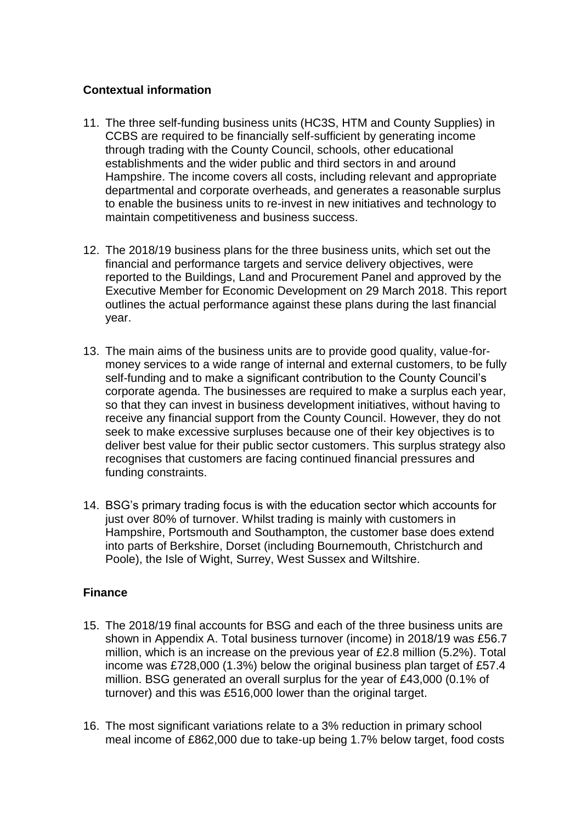# **Contextual information**

- 11. The three self-funding business units (HC3S, HTM and County Supplies) in CCBS are required to be financially self-sufficient by generating income through trading with the County Council, schools, other educational establishments and the wider public and third sectors in and around Hampshire. The income covers all costs, including relevant and appropriate departmental and corporate overheads, and generates a reasonable surplus to enable the business units to re-invest in new initiatives and technology to maintain competitiveness and business success.
- 12. The 2018/19 business plans for the three business units, which set out the financial and performance targets and service delivery objectives, were reported to the Buildings, Land and Procurement Panel and approved by the Executive Member for Economic Development on 29 March 2018. This report outlines the actual performance against these plans during the last financial year.
- 13. The main aims of the business units are to provide good quality, value-formoney services to a wide range of internal and external customers, to be fully self-funding and to make a significant contribution to the County Council's corporate agenda. The businesses are required to make a surplus each year, so that they can invest in business development initiatives, without having to receive any financial support from the County Council. However, they do not seek to make excessive surpluses because one of their key objectives is to deliver best value for their public sector customers. This surplus strategy also recognises that customers are facing continued financial pressures and funding constraints.
- 14. BSG's primary trading focus is with the education sector which accounts for just over 80% of turnover. Whilst trading is mainly with customers in Hampshire, Portsmouth and Southampton, the customer base does extend into parts of Berkshire, Dorset (including Bournemouth, Christchurch and Poole), the Isle of Wight, Surrey, West Sussex and Wiltshire.

## **Finance**

- 15. The 2018/19 final accounts for BSG and each of the three business units are shown in Appendix A. Total business turnover (income) in 2018/19 was £56.7 million, which is an increase on the previous year of £2.8 million (5.2%). Total income was £728,000 (1.3%) below the original business plan target of £57.4 million. BSG generated an overall surplus for the year of £43,000 (0.1% of turnover) and this was £516,000 lower than the original target.
- 16. The most significant variations relate to a 3% reduction in primary school meal income of £862,000 due to take-up being 1.7% below target, food costs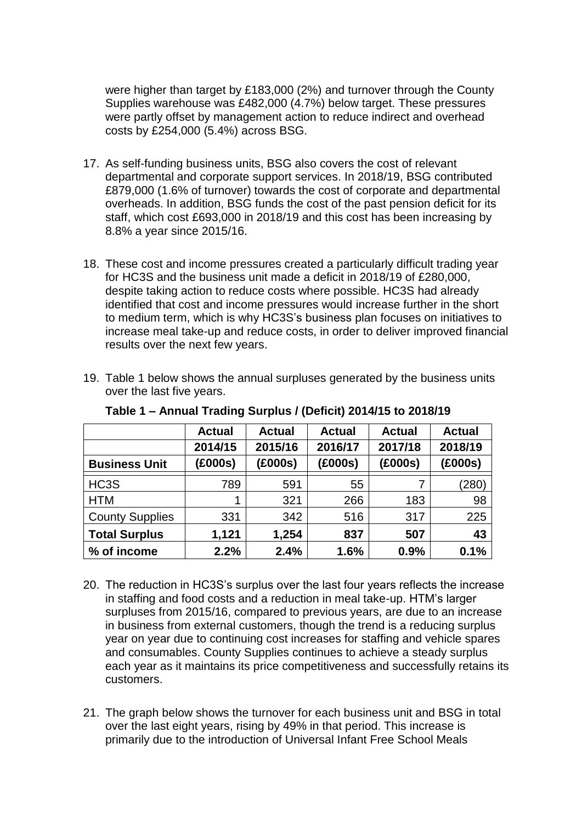were higher than target by £183,000 (2%) and turnover through the County Supplies warehouse was £482,000 (4.7%) below target. These pressures were partly offset by management action to reduce indirect and overhead costs by £254,000 (5.4%) across BSG.

- 17. As self-funding business units, BSG also covers the cost of relevant departmental and corporate support services. In 2018/19, BSG contributed £879,000 (1.6% of turnover) towards the cost of corporate and departmental overheads. In addition, BSG funds the cost of the past pension deficit for its staff, which cost £693,000 in 2018/19 and this cost has been increasing by 8.8% a year since 2015/16.
- 18. These cost and income pressures created a particularly difficult trading year for HC3S and the business unit made a deficit in 2018/19 of £280,000, despite taking action to reduce costs where possible. HC3S had already identified that cost and income pressures would increase further in the short to medium term, which is why HC3S's business plan focuses on initiatives to increase meal take-up and reduce costs, in order to deliver improved financial results over the next few years.
- 19. Table 1 below shows the annual surpluses generated by the business units over the last five years.

|                        | <b>Actual</b> | <b>Actual</b> | <b>Actual</b> | <b>Actual</b> | <b>Actual</b> |
|------------------------|---------------|---------------|---------------|---------------|---------------|
|                        | 2014/15       | 2015/16       | 2016/17       | 2017/18       | 2018/19       |
| <b>Business Unit</b>   | (£000s)       | (£000s)       | (£000s)       | (£000s)       | (£000s)       |
| HC <sub>3</sub> S      | 789           | 591           | 55            | 7             | (280)         |
| <b>HTM</b>             | 1             | 321           | 266           | 183           | 98            |
| <b>County Supplies</b> | 331           | 342           | 516           | 317           | 225           |
| <b>Total Surplus</b>   | 1,121         | 1,254         | 837           | 507           | 43            |
| % of income            | 2.2%          | 2.4%          | 1.6%          | 0.9%          | 0.1%          |

**Table 1 – Annual Trading Surplus / (Deficit) 2014/15 to 2018/19**

- 20. The reduction in HC3S's surplus over the last four years reflects the increase in staffing and food costs and a reduction in meal take-up. HTM's larger surpluses from 2015/16, compared to previous years, are due to an increase in business from external customers, though the trend is a reducing surplus year on year due to continuing cost increases for staffing and vehicle spares and consumables. County Supplies continues to achieve a steady surplus each year as it maintains its price competitiveness and successfully retains its customers.
- 21. The graph below shows the turnover for each business unit and BSG in total over the last eight years, rising by 49% in that period. This increase is primarily due to the introduction of Universal Infant Free School Meals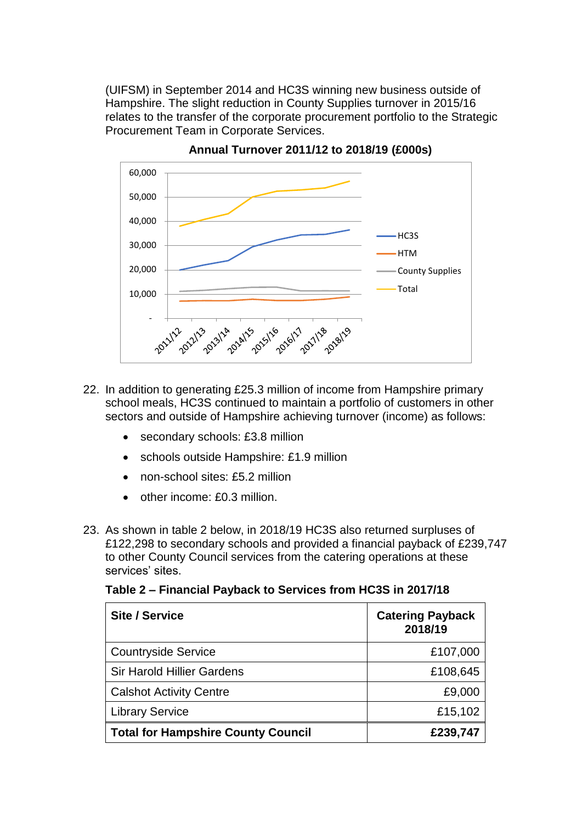(UIFSM) in September 2014 and HC3S winning new business outside of Hampshire. The slight reduction in County Supplies turnover in 2015/16 relates to the transfer of the corporate procurement portfolio to the Strategic Procurement Team in Corporate Services.



**Annual Turnover 2011/12 to 2018/19 (£000s)**

- 22. In addition to generating £25.3 million of income from Hampshire primary school meals, HC3S continued to maintain a portfolio of customers in other sectors and outside of Hampshire achieving turnover (income) as follows:
	- secondary schools: £3.8 million
	- schools outside Hampshire: £1.9 million
	- non-school sites: £5.2 million
	- other income: £0.3 million.
- 23. As shown in table 2 below, in 2018/19 HC3S also returned surpluses of £122,298 to secondary schools and provided a financial payback of £239,747 to other County Council services from the catering operations at these services' sites.

| <b>Site / Service</b>                     | <b>Catering Payback</b><br>2018/19 |
|-------------------------------------------|------------------------------------|
| <b>Countryside Service</b>                | £107,000                           |
| <b>Sir Harold Hillier Gardens</b>         | £108,645                           |
| <b>Calshot Activity Centre</b>            | £9,000                             |
| <b>Library Service</b>                    | £15,102                            |
| <b>Total for Hampshire County Council</b> | £239,747                           |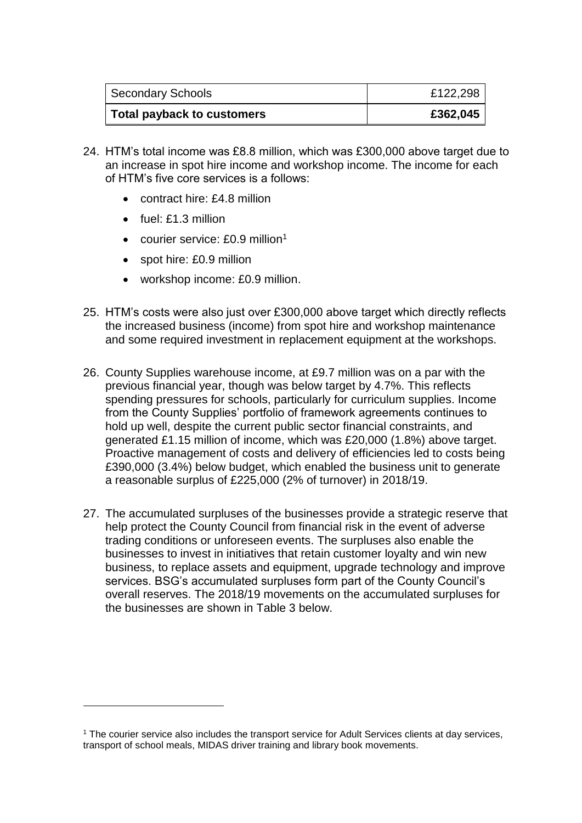| <b>Secondary Schools</b>   | £122,298 |
|----------------------------|----------|
| Total payback to customers | £362,045 |

- 24. HTM's total income was £8.8 million, which was £300,000 above target due to an increase in spot hire income and workshop income. The income for each of HTM's five core services is a follows:
	- contract hire: £4.8 million
	- $\bullet$  fuel: £1.3 million

<u>.</u>

- courier service:  $£0.9$  million<sup>1</sup>
- spot hire: £0.9 million
- workshop income: £0.9 million.
- 25. HTM's costs were also just over £300,000 above target which directly reflects the increased business (income) from spot hire and workshop maintenance and some required investment in replacement equipment at the workshops.
- 26. County Supplies warehouse income, at £9.7 million was on a par with the previous financial year, though was below target by 4.7%. This reflects spending pressures for schools, particularly for curriculum supplies. Income from the County Supplies' portfolio of framework agreements continues to hold up well, despite the current public sector financial constraints, and generated £1.15 million of income, which was £20,000 (1.8%) above target. Proactive management of costs and delivery of efficiencies led to costs being £390,000 (3.4%) below budget, which enabled the business unit to generate a reasonable surplus of £225,000 (2% of turnover) in 2018/19.
- 27. The accumulated surpluses of the businesses provide a strategic reserve that help protect the County Council from financial risk in the event of adverse trading conditions or unforeseen events. The surpluses also enable the businesses to invest in initiatives that retain customer loyalty and win new business, to replace assets and equipment, upgrade technology and improve services. BSG's accumulated surpluses form part of the County Council's overall reserves. The 2018/19 movements on the accumulated surpluses for the businesses are shown in Table 3 below.

<sup>&</sup>lt;sup>1</sup> The courier service also includes the transport service for Adult Services clients at day services, transport of school meals, MIDAS driver training and library book movements.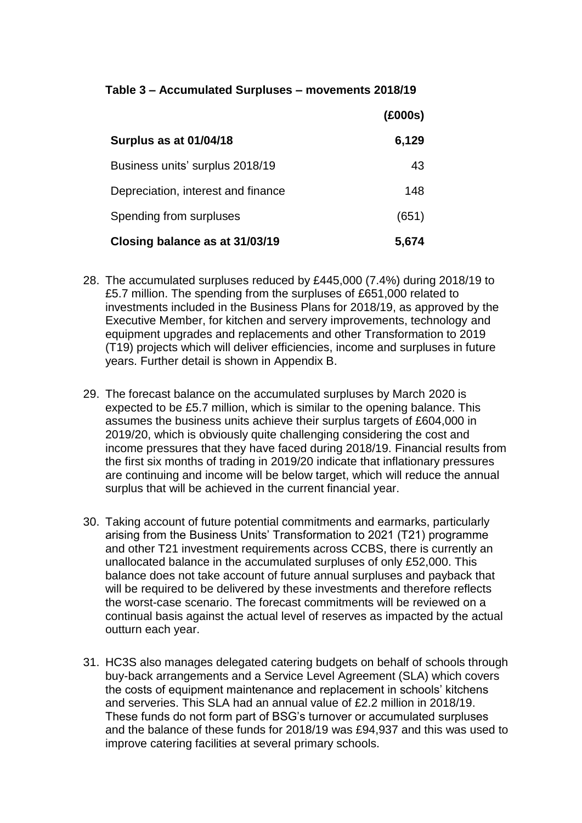# **Table 3 – Accumulated Surpluses – movements 2018/19**

|                                    | (£000s) |
|------------------------------------|---------|
| Surplus as at 01/04/18             | 6,129   |
| Business units' surplus 2018/19    | 43      |
| Depreciation, interest and finance | 148     |
| Spending from surpluses            | (651)   |
| Closing balance as at 31/03/19     | 5,674   |

- 28. The accumulated surpluses reduced by £445,000 (7.4%) during 2018/19 to £5.7 million. The spending from the surpluses of £651,000 related to investments included in the Business Plans for 2018/19, as approved by the Executive Member, for kitchen and servery improvements, technology and equipment upgrades and replacements and other Transformation to 2019 (T19) projects which will deliver efficiencies, income and surpluses in future years. Further detail is shown in Appendix B.
- 29. The forecast balance on the accumulated surpluses by March 2020 is expected to be £5.7 million, which is similar to the opening balance. This assumes the business units achieve their surplus targets of £604,000 in 2019/20, which is obviously quite challenging considering the cost and income pressures that they have faced during 2018/19. Financial results from the first six months of trading in 2019/20 indicate that inflationary pressures are continuing and income will be below target, which will reduce the annual surplus that will be achieved in the current financial year.
- 30. Taking account of future potential commitments and earmarks, particularly arising from the Business Units' Transformation to 2021 (T21) programme and other T21 investment requirements across CCBS, there is currently an unallocated balance in the accumulated surpluses of only £52,000. This balance does not take account of future annual surpluses and payback that will be required to be delivered by these investments and therefore reflects the worst-case scenario. The forecast commitments will be reviewed on a continual basis against the actual level of reserves as impacted by the actual outturn each year.
- 31. HC3S also manages delegated catering budgets on behalf of schools through buy-back arrangements and a Service Level Agreement (SLA) which covers the costs of equipment maintenance and replacement in schools' kitchens and serveries. This SLA had an annual value of £2.2 million in 2018/19. These funds do not form part of BSG's turnover or accumulated surpluses and the balance of these funds for 2018/19 was £94,937 and this was used to improve catering facilities at several primary schools.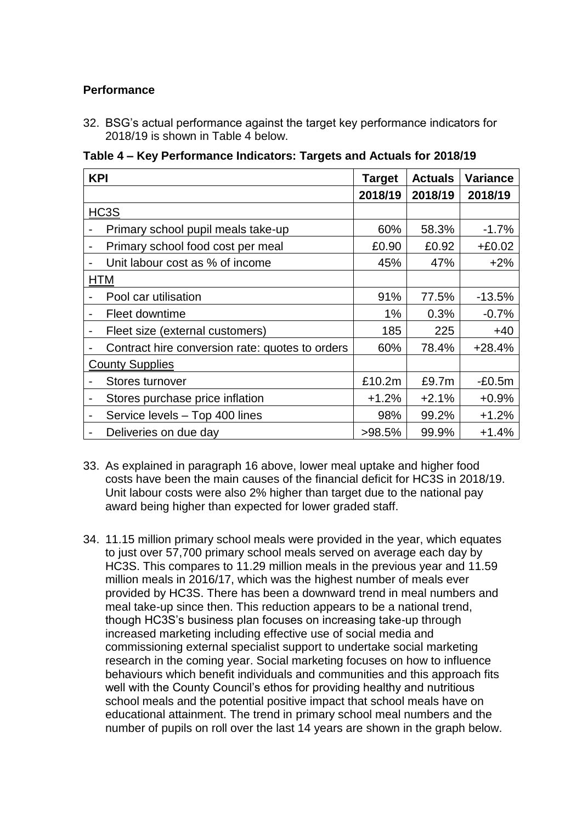# **Performance**

32. BSG's actual performance against the target key performance indicators for 2018/19 is shown in Table 4 below.

**Table 4 – Key Performance Indicators: Targets and Actuals for 2018/19**

| <b>KPI</b>                                                  | <b>Target</b> | <b>Actuals</b> | Variance |
|-------------------------------------------------------------|---------------|----------------|----------|
|                                                             | 2018/19       | 2018/19        | 2018/19  |
| HC3S                                                        |               |                |          |
| Primary school pupil meals take-up                          | 60%           | 58.3%          | $-1.7%$  |
| Primary school food cost per meal<br>$\blacksquare$         | £0.90         | £0.92          | $+£0.02$ |
| Unit labour cost as % of income<br>$\overline{\phantom{a}}$ | 45%           | 47%            | $+2%$    |
| <b>HTM</b>                                                  |               |                |          |
| Pool car utilisation                                        | 91%           | 77.5%          | $-13.5%$ |
| Fleet downtime<br>$\blacksquare$                            | $1\%$         | 0.3%           | $-0.7%$  |
| Fleet size (external customers)                             | 185           | 225            | $+40$    |
| Contract hire conversion rate: quotes to orders             | 60%           | 78.4%          | $+28.4%$ |
| <b>County Supplies</b>                                      |               |                |          |
| Stores turnover                                             | £10.2m        | £9.7m          | $-E0.5m$ |
| Stores purchase price inflation<br>$\overline{a}$           | $+1.2%$       | $+2.1%$        | $+0.9%$  |
| Service levels - Top 400 lines<br>$\overline{\phantom{a}}$  | 98%           | 99.2%          | $+1.2%$  |
| Deliveries on due day                                       | $>98.5\%$     | 99.9%          | $+1.4%$  |

- 33. As explained in paragraph 16 above, lower meal uptake and higher food costs have been the main causes of the financial deficit for HC3S in 2018/19. Unit labour costs were also 2% higher than target due to the national pay award being higher than expected for lower graded staff.
- 34. 11.15 million primary school meals were provided in the year, which equates to just over 57,700 primary school meals served on average each day by HC3S. This compares to 11.29 million meals in the previous year and 11.59 million meals in 2016/17, which was the highest number of meals ever provided by HC3S. There has been a downward trend in meal numbers and meal take-up since then. This reduction appears to be a national trend, though HC3S's business plan focuses on increasing take-up through increased marketing including effective use of social media and commissioning external specialist support to undertake social marketing research in the coming year. Social marketing focuses on how to influence behaviours which benefit individuals and communities and this approach fits well with the County Council's ethos for providing healthy and nutritious school meals and the potential positive impact that school meals have on educational attainment. The trend in primary school meal numbers and the number of pupils on roll over the last 14 years are shown in the graph below.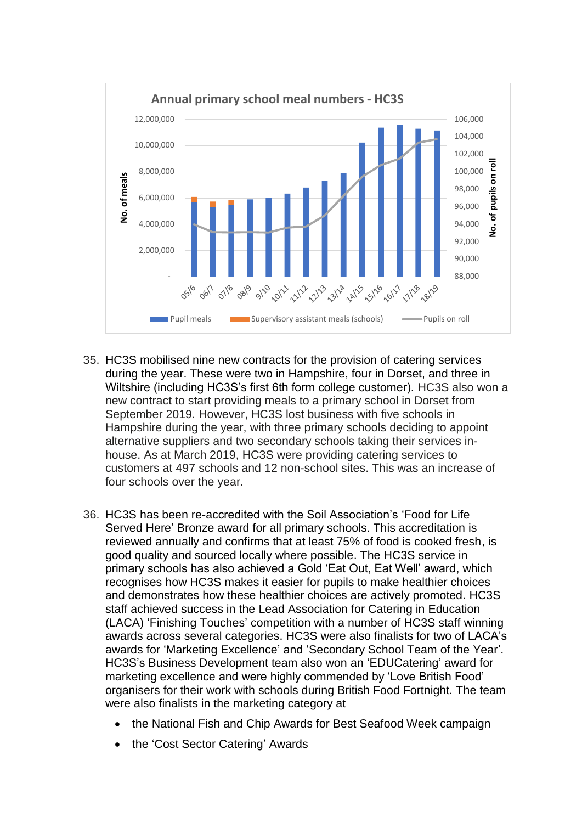

- 35. HC3S mobilised nine new contracts for the provision of catering services during the year. These were two in Hampshire, four in Dorset, and three in Wiltshire (including HC3S's first 6th form college customer). HC3S also won a new contract to start providing meals to a primary school in Dorset from September 2019. However, HC3S lost business with five schools in Hampshire during the year, with three primary schools deciding to appoint alternative suppliers and two secondary schools taking their services inhouse. As at March 2019, HC3S were providing catering services to customers at 497 schools and 12 non-school sites. This was an increase of four schools over the year.
- 36. HC3S has been re-accredited with the Soil Association's 'Food for Life Served Here' Bronze award for all primary schools. This accreditation is reviewed annually and confirms that at least 75% of food is cooked fresh, is good quality and sourced locally where possible. The HC3S service in primary schools has also achieved a Gold 'Eat Out, Eat Well' award, which recognises how HC3S makes it easier for pupils to make healthier choices and demonstrates how these healthier choices are actively promoted. HC3S staff achieved success in the Lead Association for Catering in Education (LACA) 'Finishing Touches' competition with a number of HC3S staff winning awards across several categories. HC3S were also finalists for two of LACA's awards for 'Marketing Excellence' and 'Secondary School Team of the Year'. HC3S's Business Development team also won an 'EDUCatering' award for marketing excellence and were highly commended by 'Love British Food' organisers for their work with schools during British Food Fortnight. The team were also finalists in the marketing category at
	- the National Fish and Chip Awards for Best Seafood Week campaign
	- the 'Cost Sector Catering' Awards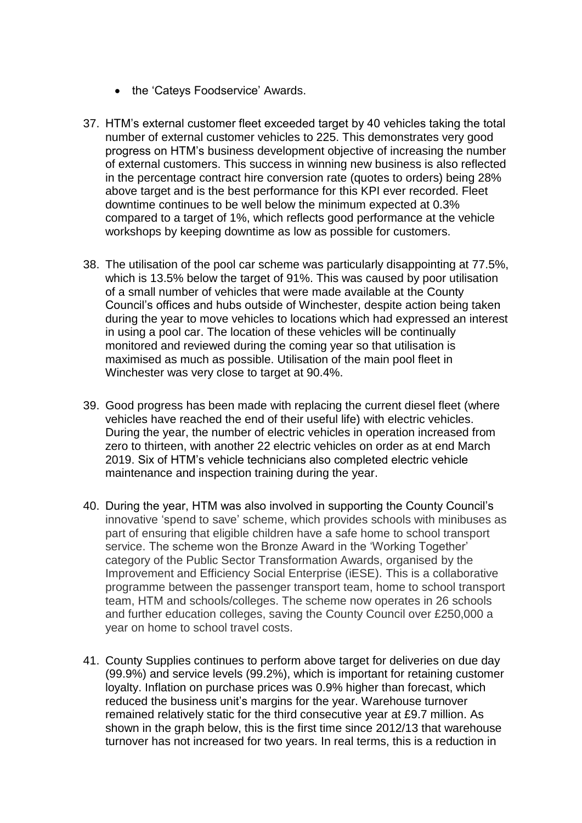- the 'Cateys Foodservice' Awards.
- 37. HTM's external customer fleet exceeded target by 40 vehicles taking the total number of external customer vehicles to 225. This demonstrates very good progress on HTM's business development objective of increasing the number of external customers. This success in winning new business is also reflected in the percentage contract hire conversion rate (quotes to orders) being 28% above target and is the best performance for this KPI ever recorded. Fleet downtime continues to be well below the minimum expected at 0.3% compared to a target of 1%, which reflects good performance at the vehicle workshops by keeping downtime as low as possible for customers.
- 38. The utilisation of the pool car scheme was particularly disappointing at 77.5%, which is 13.5% below the target of 91%. This was caused by poor utilisation of a small number of vehicles that were made available at the County Council's offices and hubs outside of Winchester, despite action being taken during the year to move vehicles to locations which had expressed an interest in using a pool car. The location of these vehicles will be continually monitored and reviewed during the coming year so that utilisation is maximised as much as possible. Utilisation of the main pool fleet in Winchester was very close to target at 90.4%.
- 39. Good progress has been made with replacing the current diesel fleet (where vehicles have reached the end of their useful life) with electric vehicles. During the year, the number of electric vehicles in operation increased from zero to thirteen, with another 22 electric vehicles on order as at end March 2019. Six of HTM's vehicle technicians also completed electric vehicle maintenance and inspection training during the year.
- 40. During the year, HTM was also involved in supporting the County Council's innovative 'spend to save' scheme, which provides schools with minibuses as part of ensuring that eligible children have a safe home to school transport service. The scheme won the Bronze Award in the 'Working Together' category of the Public Sector Transformation Awards, organised by the Improvement and Efficiency Social Enterprise (iESE). This is a collaborative programme between the passenger transport team, home to school transport team, HTM and schools/colleges. The scheme now operates in 26 schools and further education colleges, saving the County Council over £250,000 a year on home to school travel costs.
- 41. County Supplies continues to perform above target for deliveries on due day (99.9%) and service levels (99.2%), which is important for retaining customer loyalty. Inflation on purchase prices was 0.9% higher than forecast, which reduced the business unit's margins for the year. Warehouse turnover remained relatively static for the third consecutive year at £9.7 million. As shown in the graph below, this is the first time since 2012/13 that warehouse turnover has not increased for two years. In real terms, this is a reduction in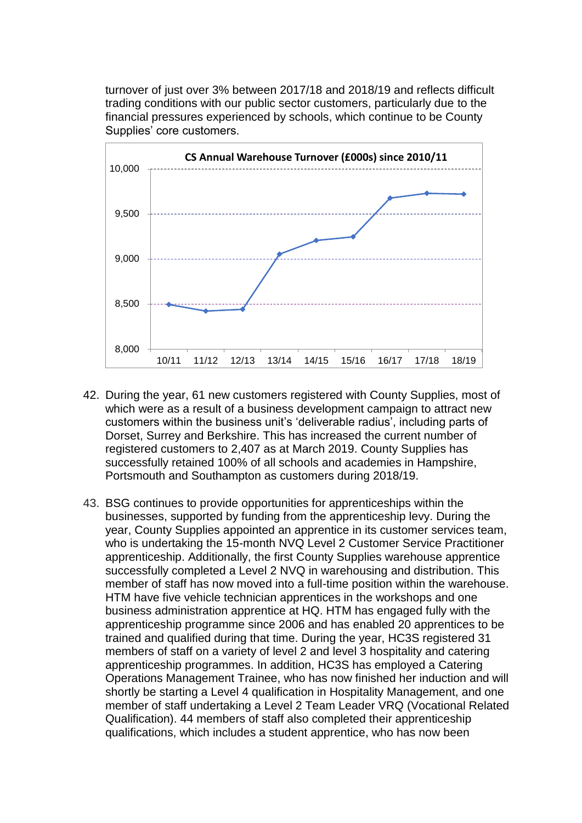turnover of just over 3% between 2017/18 and 2018/19 and reflects difficult trading conditions with our public sector customers, particularly due to the financial pressures experienced by schools, which continue to be County Supplies' core customers.



- 42. During the year, 61 new customers registered with County Supplies, most of which were as a result of a business development campaign to attract new customers within the business unit's 'deliverable radius', including parts of Dorset, Surrey and Berkshire. This has increased the current number of registered customers to 2,407 as at March 2019. County Supplies has successfully retained 100% of all schools and academies in Hampshire, Portsmouth and Southampton as customers during 2018/19.
- 43. BSG continues to provide opportunities for apprenticeships within the businesses, supported by funding from the apprenticeship levy. During the year, County Supplies appointed an apprentice in its customer services team, who is undertaking the 15-month NVQ Level 2 Customer Service Practitioner apprenticeship. Additionally, the first County Supplies warehouse apprentice successfully completed a Level 2 NVQ in warehousing and distribution. This member of staff has now moved into a full-time position within the warehouse. HTM have five vehicle technician apprentices in the workshops and one business administration apprentice at HQ. HTM has engaged fully with the apprenticeship programme since 2006 and has enabled 20 apprentices to be trained and qualified during that time. During the year, HC3S registered 31 members of staff on a variety of level 2 and level 3 hospitality and catering apprenticeship programmes. In addition, HC3S has employed a Catering Operations Management Trainee, who has now finished her induction and will shortly be starting a Level 4 qualification in Hospitality Management, and one member of staff undertaking a Level 2 Team Leader VRQ (Vocational Related Qualification). 44 members of staff also completed their apprenticeship qualifications, which includes a student apprentice, who has now been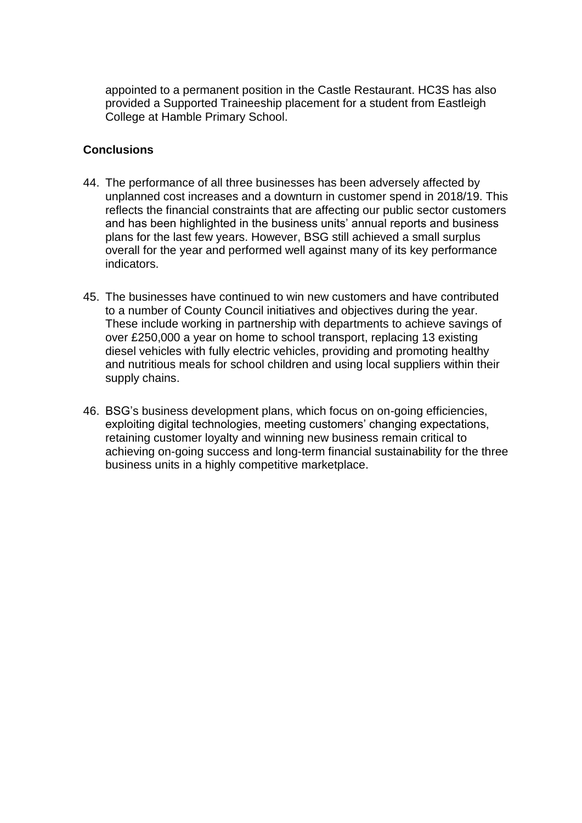appointed to a permanent position in the Castle Restaurant. HC3S has also provided a Supported Traineeship placement for a student from Eastleigh College at Hamble Primary School.

## **Conclusions**

- 44. The performance of all three businesses has been adversely affected by unplanned cost increases and a downturn in customer spend in 2018/19. This reflects the financial constraints that are affecting our public sector customers and has been highlighted in the business units' annual reports and business plans for the last few years. However, BSG still achieved a small surplus overall for the year and performed well against many of its key performance indicators.
- 45. The businesses have continued to win new customers and have contributed to a number of County Council initiatives and objectives during the year. These include working in partnership with departments to achieve savings of over £250,000 a year on home to school transport, replacing 13 existing diesel vehicles with fully electric vehicles, providing and promoting healthy and nutritious meals for school children and using local suppliers within their supply chains.
- 46. BSG's business development plans, which focus on on-going efficiencies, exploiting digital technologies, meeting customers' changing expectations, retaining customer loyalty and winning new business remain critical to achieving on-going success and long-term financial sustainability for the three business units in a highly competitive marketplace.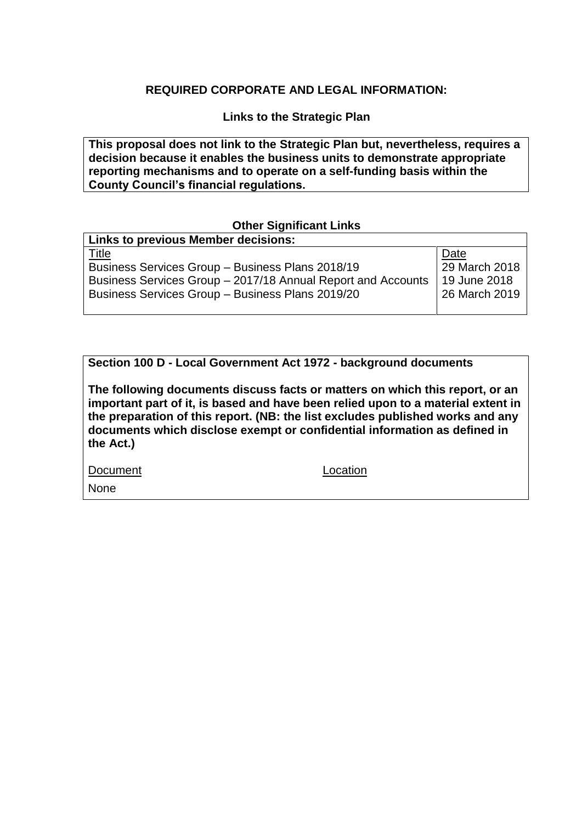# **REQUIRED CORPORATE AND LEGAL INFORMATION:**

**Links to the Strategic Plan**

**This proposal does not link to the Strategic Plan but, nevertheless, requires a decision because it enables the business units to demonstrate appropriate reporting mechanisms and to operate on a self-funding basis within the County Council's financial regulations.**

## **Other Significant Links**

| <b>Links to previous Member decisions:</b>                   |               |
|--------------------------------------------------------------|---------------|
| <u>Title</u>                                                 | Date          |
| Business Services Group - Business Plans 2018/19             | 29 March 2018 |
| Business Services Group - 2017/18 Annual Report and Accounts | 19 June 2018  |
| Business Services Group - Business Plans 2019/20             | 26 March 2019 |
|                                                              |               |

**Section 100 D - Local Government Act 1972 - background documents**

**The following documents discuss facts or matters on which this report, or an important part of it, is based and have been relied upon to a material extent in the preparation of this report. (NB: the list excludes published works and any documents which disclose exempt or confidential information as defined in the Act.)**

Document Location

None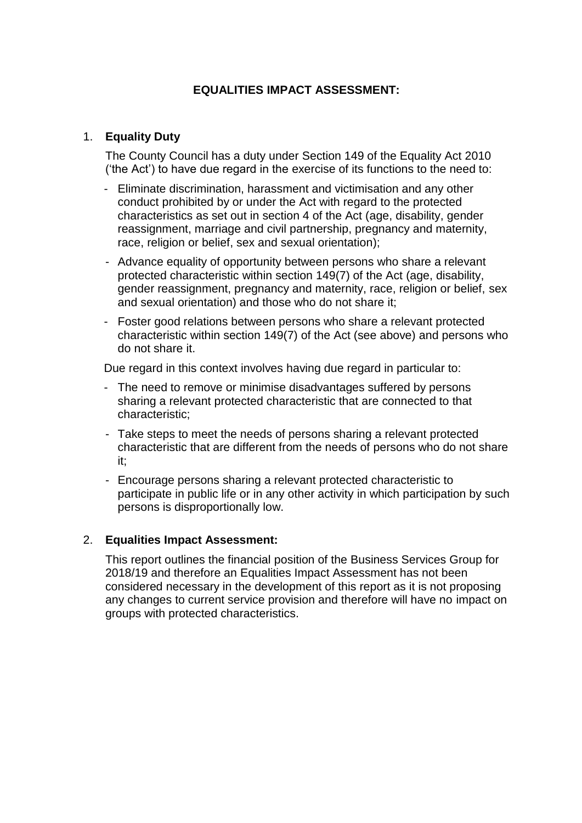# **EQUALITIES IMPACT ASSESSMENT:**

## 1. **Equality Duty**

The County Council has a duty under Section 149 of the Equality Act 2010 ('the Act') to have due regard in the exercise of its functions to the need to:

- Eliminate discrimination, harassment and victimisation and any other conduct prohibited by or under the Act with regard to the protected characteristics as set out in section 4 of the Act (age, disability, gender reassignment, marriage and civil partnership, pregnancy and maternity, race, religion or belief, sex and sexual orientation);
- Advance equality of opportunity between persons who share a relevant protected characteristic within section 149(7) of the Act (age, disability, gender reassignment, pregnancy and maternity, race, religion or belief, sex and sexual orientation) and those who do not share it;
- Foster good relations between persons who share a relevant protected characteristic within section 149(7) of the Act (see above) and persons who do not share it.

Due regard in this context involves having due regard in particular to:

- The need to remove or minimise disadvantages suffered by persons sharing a relevant protected characteristic that are connected to that characteristic;
- Take steps to meet the needs of persons sharing a relevant protected characteristic that are different from the needs of persons who do not share it;
- Encourage persons sharing a relevant protected characteristic to participate in public life or in any other activity in which participation by such persons is disproportionally low.

## 2. **Equalities Impact Assessment:**

This report outlines the financial position of the Business Services Group for 2018/19 and therefore an Equalities Impact Assessment has not been considered necessary in the development of this report as it is not proposing any changes to current service provision and therefore will have no impact on groups with protected characteristics.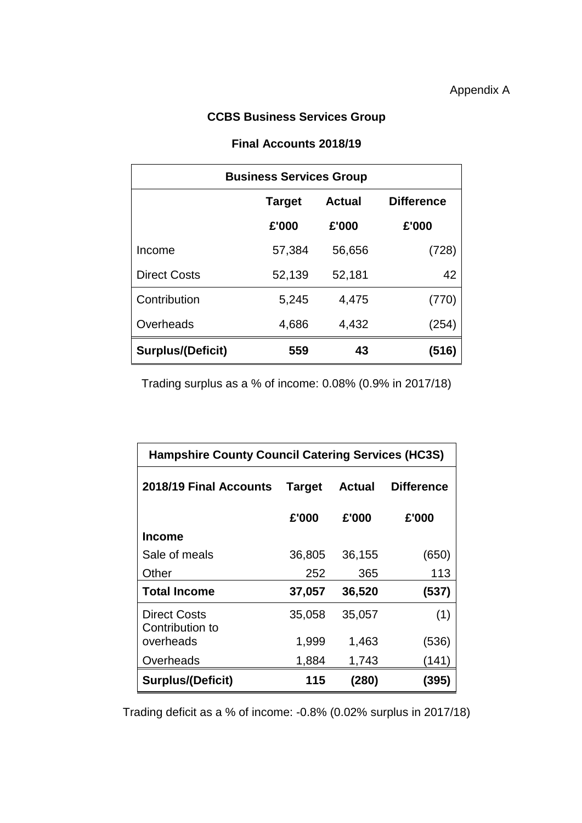# **CCBS Business Services Group**

#### **Final Accounts 2018/19**

| <b>Business Services Group</b> |               |        |                   |  |
|--------------------------------|---------------|--------|-------------------|--|
|                                | <b>Target</b> | Actual | <b>Difference</b> |  |
|                                | £'000         | £'000  | £'000             |  |
| Income                         | 57,384        | 56,656 | (728)             |  |
| <b>Direct Costs</b>            | 52,139        | 52,181 | 42                |  |
| Contribution                   | 5,245         | 4,475  | (770)             |  |
| Overheads                      | 4,686         | 4,432  | (254)             |  |
| <b>Surplus/(Deficit)</b>       | 559           | 43     | (516)             |  |

Trading surplus as a % of income: 0.08% (0.9% in 2017/18)

| <b>Hampshire County Council Catering Services (HC3S)</b> |               |               |                   |  |
|----------------------------------------------------------|---------------|---------------|-------------------|--|
| 2018/19 Final Accounts                                   | <b>Target</b> | <b>Actual</b> | <b>Difference</b> |  |
|                                                          | £'000         | £'000         | £'000             |  |
| Income                                                   |               |               |                   |  |
| Sale of meals                                            | 36,805        | 36,155        | (650)             |  |
| Other                                                    | 252           | 365           | 113               |  |
| <b>Total Income</b>                                      | 37,057        | 36,520        | (537)             |  |
| <b>Direct Costs</b><br>Contribution to                   | 35,058        | 35,057        | (1)               |  |
| overheads                                                | 1,999         | 1,463         | (536)             |  |
| Overheads                                                | 1,884         | 1,743         | (141)             |  |
| <b>Surplus/(Deficit)</b>                                 | 115           | (280)         | (395)             |  |

Trading deficit as a % of income: -0.8% (0.02% surplus in 2017/18)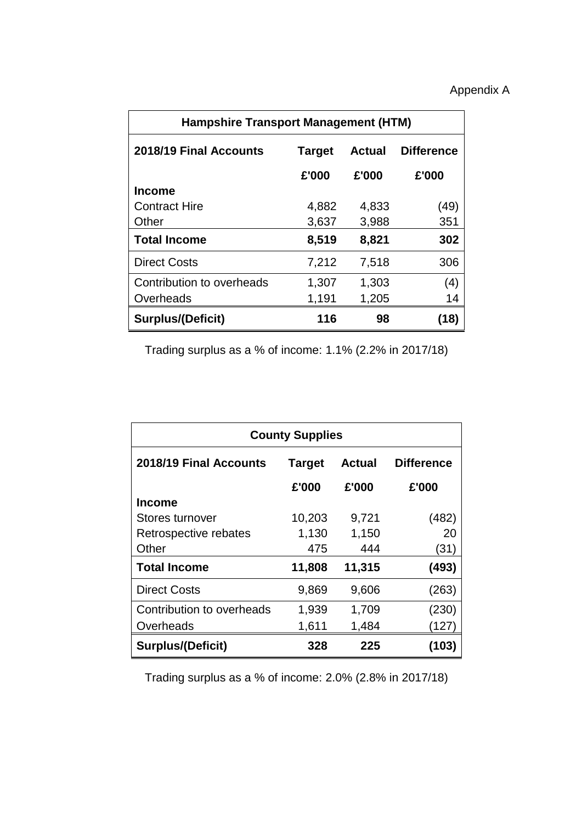| <b>Hampshire Transport Management (HTM)</b> |               |               |                   |  |
|---------------------------------------------|---------------|---------------|-------------------|--|
| 2018/19 Final Accounts                      | <b>Target</b> | <b>Actual</b> | <b>Difference</b> |  |
|                                             | £'000         | £'000         | £'000             |  |
| <b>Income</b>                               |               |               |                   |  |
| <b>Contract Hire</b>                        | 4,882         | 4,833         | (49)              |  |
| Other                                       | 3,637         | 3,988         | 351               |  |
| <b>Total Income</b>                         | 8,519         | 8,821         | 302               |  |
| <b>Direct Costs</b>                         | 7,212         | 7,518         | 306               |  |
| Contribution to overheads                   | 1,307         | 1,303         | (4)               |  |
| Overheads                                   | 1,191         | 1,205         | 14                |  |
| <b>Surplus/(Deficit)</b>                    | 116           | 98            | (18)              |  |

Trading surplus as a % of income: 1.1% (2.2% in 2017/18)

| <b>County Supplies</b>    |                                |        |                   |  |
|---------------------------|--------------------------------|--------|-------------------|--|
| 2018/19 Final Accounts    | <b>Target</b><br><b>Actual</b> |        | <b>Difference</b> |  |
|                           | £'000                          | £'000  | £'000             |  |
| <b>Income</b>             |                                |        |                   |  |
| Stores turnover           | 10,203                         | 9,721  | (482)             |  |
| Retrospective rebates     | 1,130                          | 1,150  | 20                |  |
| Other                     | 475                            | 444    | (31)              |  |
| <b>Total Income</b>       | 11,808                         | 11,315 | (493)             |  |
| <b>Direct Costs</b>       | 9,869                          | 9,606  | (263)             |  |
| Contribution to overheads | 1,939                          | 1,709  | (230)             |  |
| Overheads                 | 1,611                          | 1,484  | (127)             |  |
| <b>Surplus/(Deficit)</b>  | 328                            | 225    | (103)             |  |

Trading surplus as a % of income: 2.0% (2.8% in 2017/18)